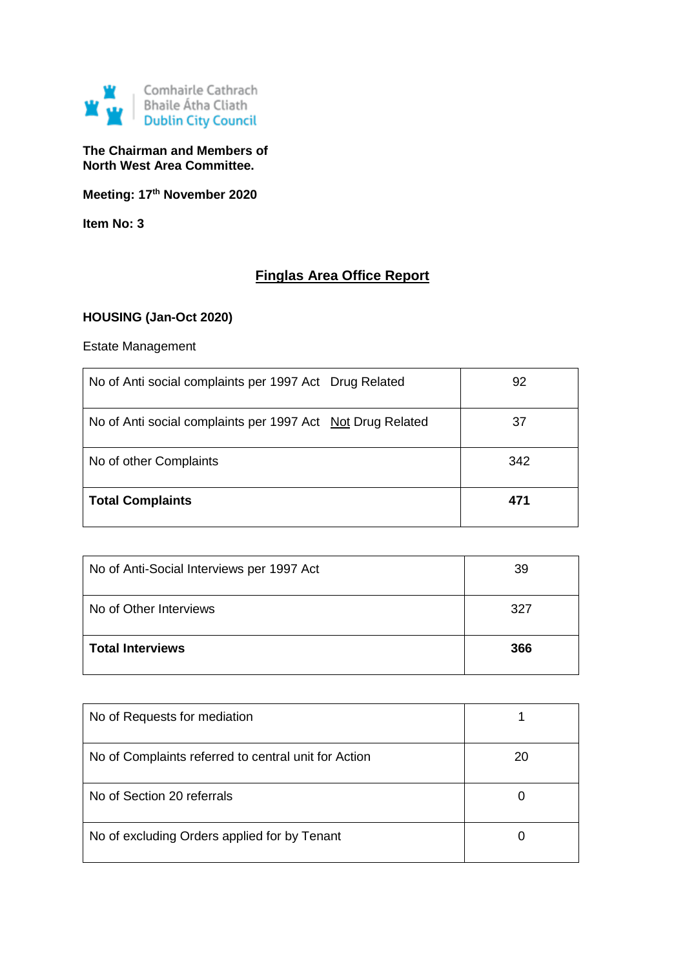

## **The Chairman and Members of North West Area Committee.**

**Meeting: 17th November 2020**

**Item No: 3**

# **Finglas Area Office Report**

## **HOUSING (Jan-Oct 2020)**

## Estate Management

| No of Anti social complaints per 1997 Act Drug Related     | 92  |
|------------------------------------------------------------|-----|
| No of Anti social complaints per 1997 Act Not Drug Related | 37  |
| No of other Complaints                                     | 342 |
| <b>Total Complaints</b>                                    | 471 |

| No of Anti-Social Interviews per 1997 Act | 39  |
|-------------------------------------------|-----|
| No of Other Interviews                    | 327 |
| <b>Total Interviews</b>                   | 366 |

| No of Requests for mediation                         |    |
|------------------------------------------------------|----|
| No of Complaints referred to central unit for Action | 20 |
| No of Section 20 referrals                           | O  |
| No of excluding Orders applied for by Tenant         | O  |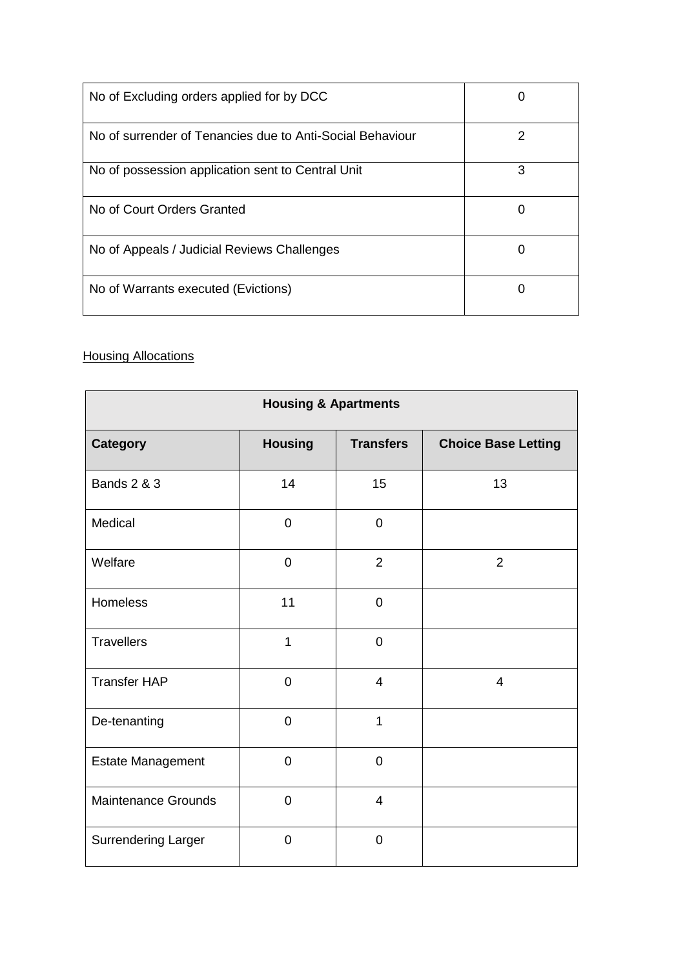| No of Excluding orders applied for by DCC                 |   |
|-----------------------------------------------------------|---|
| No of surrender of Tenancies due to Anti-Social Behaviour | 2 |
| No of possession application sent to Central Unit         | 3 |
| No of Court Orders Granted                                |   |
| No of Appeals / Judicial Reviews Challenges               | 0 |
| No of Warrants executed (Evictions)                       |   |

## **Housing Allocations**

| <b>Housing &amp; Apartments</b> |                |                  |                            |
|---------------------------------|----------------|------------------|----------------------------|
| <b>Category</b>                 | <b>Housing</b> | <b>Transfers</b> | <b>Choice Base Letting</b> |
| <b>Bands 2 &amp; 3</b>          | 14             | 15               | 13                         |
| Medical                         | $\overline{0}$ | $\overline{0}$   |                            |
| Welfare                         | $\overline{0}$ | $\overline{2}$   | $\overline{2}$             |
| <b>Homeless</b>                 | 11             | $\overline{0}$   |                            |
| <b>Travellers</b>               | $\mathbf 1$    | $\overline{0}$   |                            |
| <b>Transfer HAP</b>             | $\overline{0}$ | $\overline{4}$   | $\overline{4}$             |
| De-tenanting                    | $\overline{0}$ | $\overline{1}$   |                            |
| <b>Estate Management</b>        | $\overline{0}$ | $\overline{0}$   |                            |
| <b>Maintenance Grounds</b>      | $\overline{0}$ | $\overline{4}$   |                            |
| <b>Surrendering Larger</b>      | $\overline{0}$ | $\overline{0}$   |                            |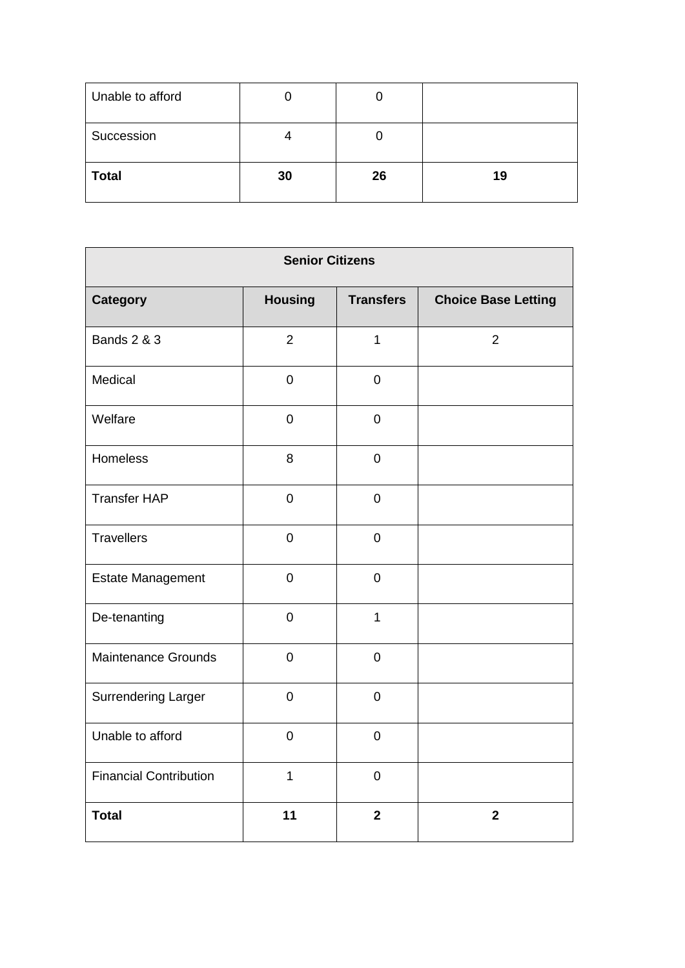| Unable to afford |    | J  |    |
|------------------|----|----|----|
| Succession       |    | U  |    |
| <b>Total</b>     | 30 | 26 | 19 |

| <b>Senior Citizens</b>        |                |                  |                            |
|-------------------------------|----------------|------------------|----------------------------|
| <b>Category</b>               | <b>Housing</b> | <b>Transfers</b> | <b>Choice Base Letting</b> |
| <b>Bands 2 &amp; 3</b>        | $\overline{2}$ | $\mathbf{1}$     | $\overline{2}$             |
| Medical                       | $\pmb{0}$      | $\pmb{0}$        |                            |
| Welfare                       | $\pmb{0}$      | $\boldsymbol{0}$ |                            |
| <b>Homeless</b>               | 8              | $\mathsf 0$      |                            |
| <b>Transfer HAP</b>           | $\pmb{0}$      | $\pmb{0}$        |                            |
| <b>Travellers</b>             | $\mathbf 0$    | $\pmb{0}$        |                            |
| <b>Estate Management</b>      | $\pmb{0}$      | $\mathsf 0$      |                            |
| De-tenanting                  | $\pmb{0}$      | $\mathbf{1}$     |                            |
| <b>Maintenance Grounds</b>    | $\pmb{0}$      | $\mathsf 0$      |                            |
| <b>Surrendering Larger</b>    | $\mathbf 0$    | $\pmb{0}$        |                            |
| Unable to afford              | $\pmb{0}$      | $\pmb{0}$        |                            |
| <b>Financial Contribution</b> | $\mathbf{1}$   | $\pmb{0}$        |                            |
| <b>Total</b>                  | 11             | $\overline{2}$   | $\overline{2}$             |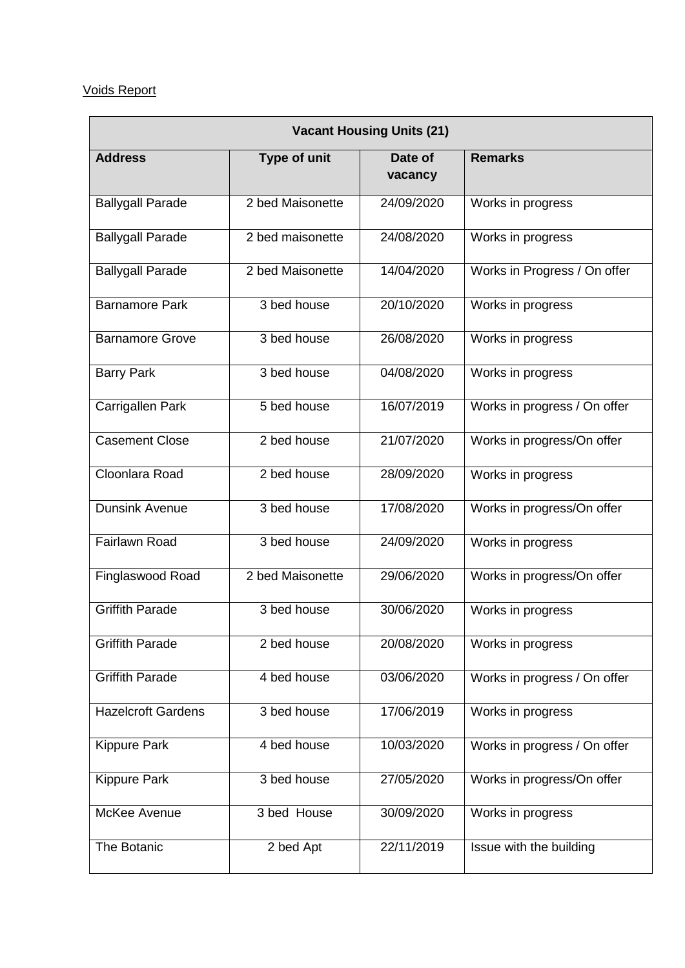# Voids Report

| <b>Vacant Housing Units (21)</b> |                  |                    |                              |
|----------------------------------|------------------|--------------------|------------------------------|
| <b>Address</b>                   | Type of unit     | Date of<br>vacancy | <b>Remarks</b>               |
| <b>Ballygall Parade</b>          | 2 bed Maisonette | 24/09/2020         | Works in progress            |
| <b>Ballygall Parade</b>          | 2 bed maisonette | 24/08/2020         | Works in progress            |
| <b>Ballygall Parade</b>          | 2 bed Maisonette | 14/04/2020         | Works in Progress / On offer |
| <b>Barnamore Park</b>            | 3 bed house      | 20/10/2020         | Works in progress            |
| <b>Barnamore Grove</b>           | 3 bed house      | 26/08/2020         | Works in progress            |
| <b>Barry Park</b>                | 3 bed house      | 04/08/2020         | Works in progress            |
| Carrigallen Park                 | 5 bed house      | 16/07/2019         | Works in progress / On offer |
| <b>Casement Close</b>            | 2 bed house      | 21/07/2020         | Works in progress/On offer   |
| Cloonlara Road                   | 2 bed house      | 28/09/2020         | Works in progress            |
| <b>Dunsink Avenue</b>            | 3 bed house      | 17/08/2020         | Works in progress/On offer   |
| <b>Fairlawn Road</b>             | 3 bed house      | 24/09/2020         | Works in progress            |
| Finglaswood Road                 | 2 bed Maisonette | 29/06/2020         | Works in progress/On offer   |
| <b>Griffith Parade</b>           | 3 bed house      | 30/06/2020         | Works in progress            |
| <b>Griffith Parade</b>           | 2 bed house      | 20/08/2020         | Works in progress            |
| <b>Griffith Parade</b>           | 4 bed house      | 03/06/2020         | Works in progress / On offer |
| <b>Hazelcroft Gardens</b>        | 3 bed house      | 17/06/2019         | Works in progress            |
| <b>Kippure Park</b>              | 4 bed house      | 10/03/2020         | Works in progress / On offer |
| <b>Kippure Park</b>              | 3 bed house      | 27/05/2020         | Works in progress/On offer   |
| McKee Avenue                     | 3 bed House      | 30/09/2020         | Works in progress            |
| The Botanic                      | 2 bed Apt        | 22/11/2019         | Issue with the building      |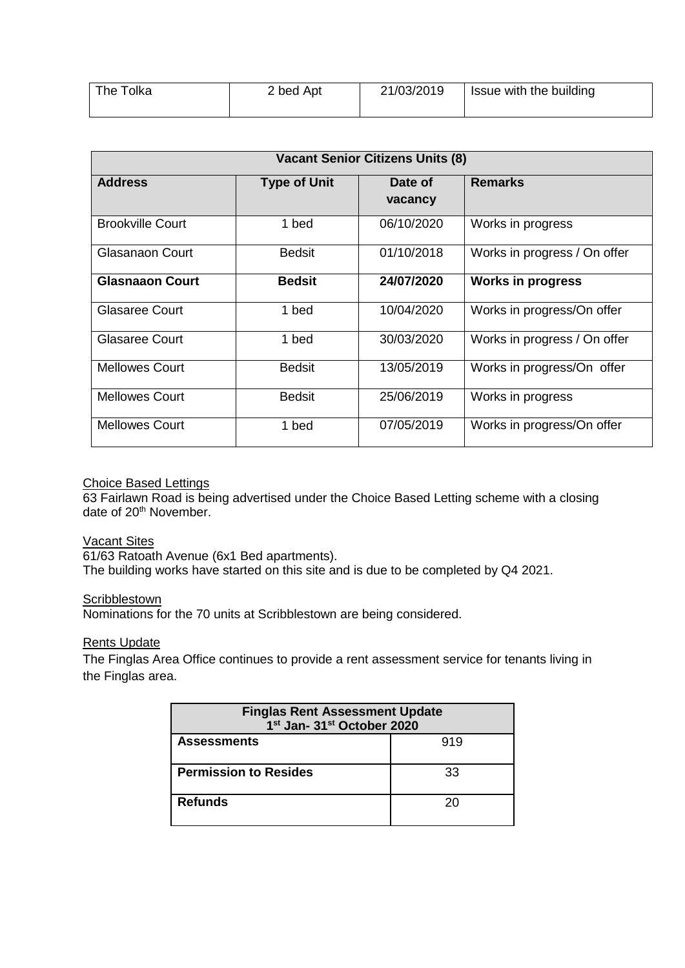| The Tolka | 2 bed Apt | 21/03/2019 | Solution Issue with the building |
|-----------|-----------|------------|----------------------------------|
|           |           |            |                                  |

| <b>Vacant Senior Citizens Units (8)</b> |                     |            |                              |
|-----------------------------------------|---------------------|------------|------------------------------|
| <b>Address</b>                          | <b>Type of Unit</b> | Date of    | <b>Remarks</b>               |
|                                         |                     | vacancy    |                              |
| <b>Brookville Court</b>                 | 1 bed               | 06/10/2020 | Works in progress            |
| Glasanaon Court                         | <b>Bedsit</b>       | 01/10/2018 | Works in progress / On offer |
| <b>Glasnaaon Court</b>                  | <b>Bedsit</b>       | 24/07/2020 | <b>Works in progress</b>     |
| <b>Glasaree Court</b>                   | 1 bed               | 10/04/2020 | Works in progress/On offer   |
| <b>Glasaree Court</b>                   | 1 bed               | 30/03/2020 | Works in progress / On offer |
| <b>Mellowes Court</b>                   | <b>Bedsit</b>       | 13/05/2019 | Works in progress/On offer   |
| <b>Mellowes Court</b>                   | <b>Bedsit</b>       | 25/06/2019 | Works in progress            |
| <b>Mellowes Court</b>                   | 1 bed               | 07/05/2019 | Works in progress/On offer   |

### Choice Based Lettings

63 Fairlawn Road is being advertised under the Choice Based Letting scheme with a closing date of 20<sup>th</sup> November.

## Vacant Sites

61/63 Ratoath Avenue (6x1 Bed apartments).

The building works have started on this site and is due to be completed by Q4 2021.

## **Scribblestown**

Nominations for the 70 units at Scribblestown are being considered.

#### Rents Update

The Finglas Area Office continues to provide a rent assessment service for tenants living in the Finglas area.

| <b>Finglas Rent Assessment Update</b><br>1 <sup>st</sup> Jan- 31 <sup>st</sup> October 2020 |     |  |
|---------------------------------------------------------------------------------------------|-----|--|
| <b>Assessments</b>                                                                          | 919 |  |
| <b>Permission to Resides</b>                                                                | 33  |  |
| <b>Refunds</b>                                                                              | 20  |  |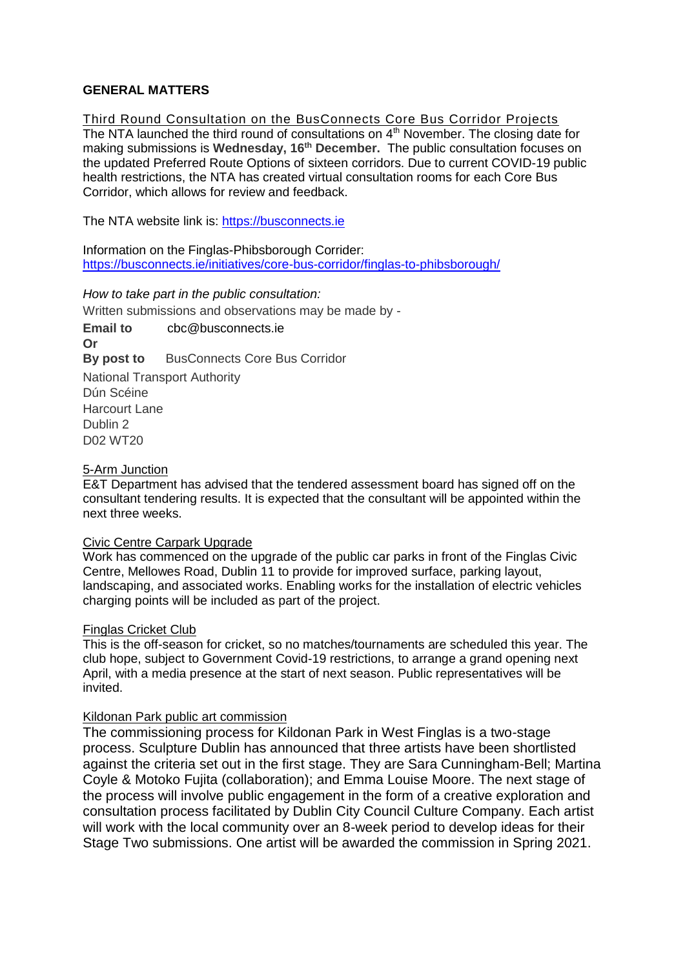### **GENERAL MATTERS**

Third Round Consultation on the BusConnects Core Bus Corridor Projects The NTA launched the third round of consultations on 4<sup>th</sup> November. The closing date for making submissions is **Wednesday, 16th December.** The public consultation focuses on the updated Preferred Route Options of sixteen corridors. Due to current COVID-19 public health restrictions, the NTA has created virtual consultation rooms for each Core Bus Corridor, which allows for review and feedback.

The NTA website link is: [https://busconnects.ie](https://busconnects.ie/)

Information on the Finglas-Phibsborough Corrider: https://busconnects.ie/initiatives/core-bus-corridor/finglas-to-phibsborough/

#### *How to take part in the public consultation:*

Written submissions and observations may be made by -

**Email to** [cbc@busconnects.ie](mailto:cbc@busconnects.ie) **Or By post to** BusConnects Core Bus Corridor National Transport Authority Dún Scéine Harcourt Lane Dublin 2 D02 WT20

#### 5-Arm Junction

E&T Department has advised that the tendered assessment board has signed off on the consultant tendering results. It is expected that the consultant will be appointed within the next three weeks.

#### Civic Centre Carpark Upgrade

Work has commenced on the upgrade of the public car parks in front of the Finglas Civic Centre, Mellowes Road, Dublin 11 to provide for improved surface, parking layout, landscaping, and associated works. Enabling works for the installation of electric vehicles charging points will be included as part of the project.

#### Finglas Cricket Club

This is the off-season for cricket, so no matches/tournaments are scheduled this year. The club hope, subject to Government Covid-19 restrictions, to arrange a grand opening next April, with a media presence at the start of next season. Public representatives will be invited.

#### Kildonan Park public art commission

The commissioning process for Kildonan Park in West Finglas is a two-stage process. Sculpture Dublin has announced that three artists have been shortlisted against the criteria set out in the first stage. They are Sara Cunningham-Bell; Martina Coyle & Motoko Fujita (collaboration); and Emma Louise Moore. The next stage of the process will involve public engagement in the form of a creative exploration and consultation process facilitated by Dublin City Council Culture Company. Each artist will work with the local community over an 8-week period to develop ideas for their Stage Two submissions. One artist will be awarded the commission in Spring 2021.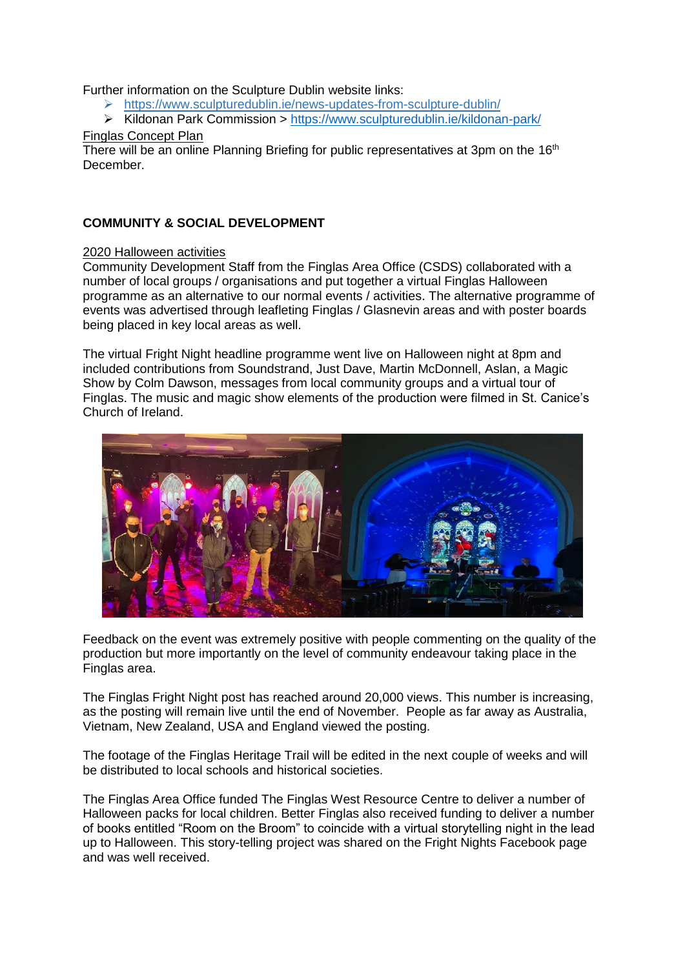Further information on the Sculpture Dublin website links:

- <https://www.sculpturedublin.ie/news-updates-from-sculpture-dublin/>
- Kildonan Park Commission > [https://www.sculpturedublin.ie/kildonan-park/](https://scanmail.trustwave.com/?c=17268&d=zLGt3-Q0h9L04P5fNd7n8Gf1Hjq84ciAYC0Me1Bm2Q&s=342&u=https%3a%2f%2fwww%2esculpturedublin%2eie%2fkildonan-park%2f)

## Finglas Concept Plan

There will be an online Planning Briefing for public representatives at 3pm on the 16<sup>th</sup> December.

## **COMMUNITY & SOCIAL DEVELOPMENT**

## 2020 Halloween activities

Community Development Staff from the Finglas Area Office (CSDS) collaborated with a number of local groups / organisations and put together a virtual Finglas Halloween programme as an alternative to our normal events / activities. The alternative programme of events was advertised through leafleting Finglas / Glasnevin areas and with poster boards being placed in key local areas as well.

The virtual Fright Night headline programme went live on Halloween night at 8pm and included contributions from Soundstrand, Just Dave, Martin McDonnell, Aslan, a Magic Show by Colm Dawson, messages from local community groups and a virtual tour of Finglas. The music and magic show elements of the production were filmed in St. Canice's Church of Ireland.



Feedback on the event was extremely positive with people commenting on the quality of the production but more importantly on the level of community endeavour taking place in the Finglas area.

The Finglas Fright Night post has reached around 20,000 views. This number is increasing, as the posting will remain live until the end of November. People as far away as Australia, Vietnam, New Zealand, USA and England viewed the posting.

The footage of the Finglas Heritage Trail will be edited in the next couple of weeks and will be distributed to local schools and historical societies.

The Finglas Area Office funded The Finglas West Resource Centre to deliver a number of Halloween packs for local children. Better Finglas also received funding to deliver a number of books entitled "Room on the Broom" to coincide with a virtual storytelling night in the lead up to Halloween. This story-telling project was shared on the Fright Nights Facebook page and was well received.